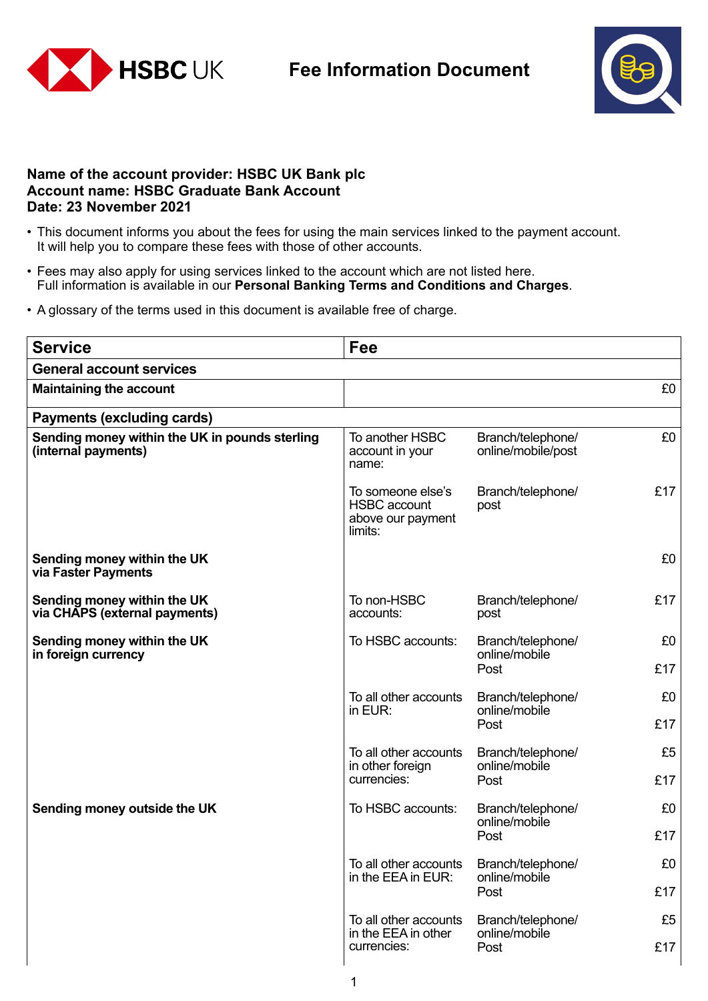

## **Fee Information Document**



## **Name of the account provider: HSBC UK Bank plc Account name: HSBC Graduate Bank Account Date: 23 November 2021**

- This document informs you about the fees for using the main services linked to the payment account. It will help you to compare these fees with those of other accounts.
- Fees may also apply for using services linked to the account which are not listed here. Full information is available in our **Personal Banking Terms and Conditions and Charges**.
- A glossary of the terms used in this document is available free of charge.

| <b>Service</b>                                                        | Fee                                                                      |                                            |     |  |  |
|-----------------------------------------------------------------------|--------------------------------------------------------------------------|--------------------------------------------|-----|--|--|
| <b>General account services</b>                                       |                                                                          |                                            |     |  |  |
| <b>Maintaining the account</b>                                        |                                                                          |                                            | £0  |  |  |
| <b>Payments (excluding cards)</b>                                     |                                                                          |                                            |     |  |  |
| Sending money within the UK in pounds sterling<br>(internal payments) | To another HSBC<br>account in your<br>name:                              | Branch/telephone/<br>online/mobile/post    | £0  |  |  |
|                                                                       | To someone else's<br><b>HSBC</b> account<br>above our payment<br>limits: | Branch/telephone/<br>post                  | £17 |  |  |
| Sending money within the UK<br>via Faster Payments                    |                                                                          |                                            | £0  |  |  |
| Sending money within the UK<br>via CHAPS (external payments)          | To non-HSBC<br>accounts:                                                 | Branch/telephone/<br>post                  | £17 |  |  |
| Sending money within the UK<br>in foreign currency                    | To HSBC accounts:                                                        | Branch/telephone/<br>online/mobile<br>Post | £0  |  |  |
|                                                                       |                                                                          |                                            | £17 |  |  |
|                                                                       | To all other accounts<br>in EUR:                                         | Branch/telephone/<br>online/mobile<br>Post | £0  |  |  |
|                                                                       |                                                                          |                                            | £17 |  |  |
|                                                                       | To all other accounts<br>in other foreign<br>currencies:                 | Branch/telephone/<br>online/mobile<br>Post | £5  |  |  |
|                                                                       |                                                                          |                                            | £17 |  |  |
| Sending money outside the UK                                          | To HSBC accounts:                                                        | Branch/telephone/<br>online/mobile<br>Post | £0  |  |  |
|                                                                       |                                                                          |                                            | £17 |  |  |
|                                                                       | To all other accounts<br>in the EEA in EUR:                              | Branch/telephone/<br>online/mobile<br>Post | £0  |  |  |
|                                                                       |                                                                          |                                            | £17 |  |  |
|                                                                       | To all other accounts                                                    | Branch/telephone/                          | £5  |  |  |
|                                                                       | in the EEA in other<br>currencies:                                       | online/mobile<br>Post                      | £17 |  |  |